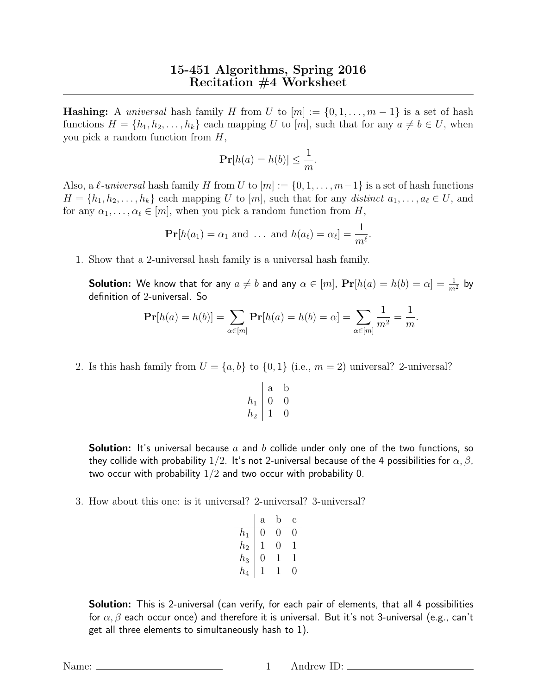## 15-451 Algorithms, Spring 2016 Recitation #4 Worksheet

**Hashing:** A *universal* hash family H from U to  $[m] := \{0, 1, \ldots, m-1\}$  is a set of hash functions  $H = \{h_1, h_2, \ldots, h_k\}$  each mapping U to  $[m]$ , such that for any  $a \neq b \in U$ , when you pick a random function from H,

$$
\mathbf{Pr}[h(a) = h(b)] \le \frac{1}{m}.
$$

Also, a  $\ell$ -universal hash family H from U to  $[m] := \{0, 1, \ldots, m-1\}$  is a set of hash functions  $H = \{h_1, h_2, \ldots, h_k\}$  each mapping U to  $[m]$ , such that for any distinct  $a_1, \ldots, a_\ell \in U$ , and for any  $\alpha_1, \ldots, \alpha_\ell \in [m]$ , when you pick a random function from H,

$$
\mathbf{Pr}[h(a_1) = \alpha_1 \text{ and } \dots \text{ and } h(a_\ell) = \alpha_\ell] = \frac{1}{m^\ell}.
$$

1. Show that a 2-universal hash family is a universal hash family.

**Solution:** We know that for any  $a\neq b$  and any  $\alpha\in[m]$ ,  $\mathbf{Pr}[h(a)=h(b)=\alpha]=\frac{1}{m^2}$  by definition of 2-universal. So

$$
\Pr[h(a) = h(b)] = \sum_{\alpha \in [m]} \Pr[h(a) = h(b) = \alpha] = \sum_{\alpha \in [m]} \frac{1}{m^2} = \frac{1}{m}
$$

.

2. Is this hash family from  $U = \{a, b\}$  to  $\{0, 1\}$  (i.e.,  $m = 2$ ) universal? 2-universal?

$$
\begin{array}{c|cc} & a & b \\ \hline h_1 & 0 & 0 \\ h_2 & 1 & 0 \\ \end{array}
$$

**Solution:** It's universal because a and b collide under only one of the two functions, so they collide with probability 1/2. It's not 2-universal because of the 4 possibilities for  $\alpha, \beta$ , two occur with probability  $1/2$  and two occur with probability 0.

3. How about this one: is it universal? 2-universal? 3-universal?

|       | а            | D | С |
|-------|--------------|---|---|
| $h_1$ | 0            | 0 | 0 |
| $h_2$ | $\mathsf{l}$ | 0 | 1 |
| $h_3$ | 0            |   | 1 |
| $h_4$ |              |   | 0 |

**Solution:** This is 2-universal (can verify, for each pair of elements, that all 4 possibilities for  $\alpha, \beta$  each occur once) and therefore it is universal. But it's not 3-universal (e.g., can't get all three elements to simultaneously hash to 1).

Name: 1 Andrew ID: